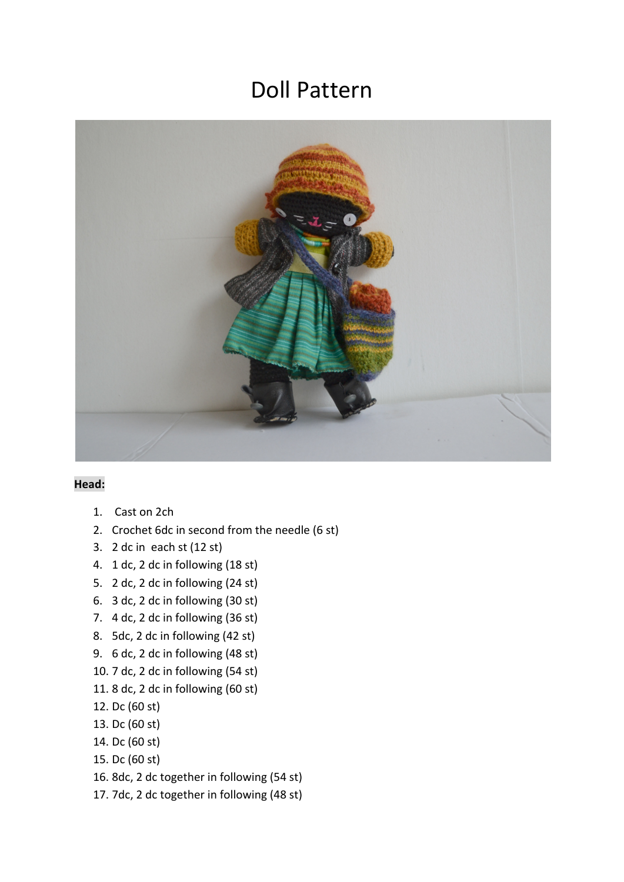## Doll Pattern



## **Head:**

- 1. Cast on 2ch
- 2. Crochet 6dc in second from the needle (6 st)
- 3. 2 dc in each st (12 st)
- 4. 1 dc, 2 dc in following (18 st)
- 5. 2 dc, 2 dc in following (24 st)
- 6. 3 dc, 2 dc in following (30 st)
- 7. 4 dc, 2 dc in following (36 st)
- 8. 5dc, 2 dc in following (42 st)
- 9. 6 dc, 2 dc in following (48 st)
- 10. 7 dc, 2 dc in following (54 st)
- 11. 8 dc, 2 dc in following (60 st)
- 12. Dc (60 st)
- 13. Dc (60 st)
- 14. Dc (60 st)
- 15. Dc (60 st)
- 16. 8dc, 2 dc together in following (54 st)
- 17. 7dc, 2 dc together in following (48 st)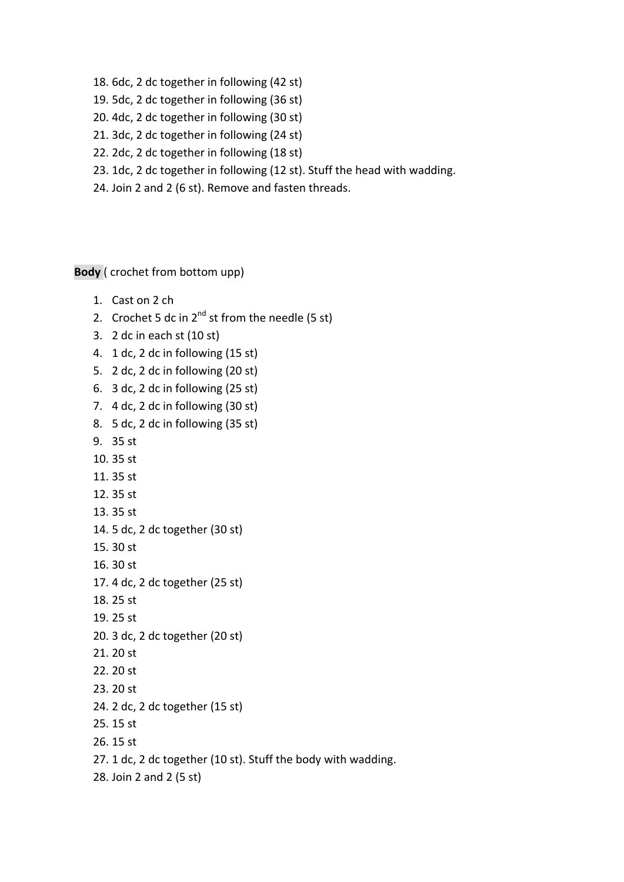- 18. 6dc, 2 dc together in following (42 st)
- 19. 5dc, 2 dc together in following (36 st)
- 20. 4dc, 2 dc together in following (30 st)
- 21. 3dc, 2 dc together in following (24 st)
- 22. 2dc, 2 dc together in following (18 st)
- 23. 1dc, 2 dc together in following (12 st). Stuff the head with wadding.
- 24. Join 2 and 2 (6 st). Remove and fasten threads.

**Body** ( crochet from bottom upp)

- 1. Cast on 2 ch
- 2. Crochet 5 dc in  $2^{nd}$  st from the needle (5 st)
- 3. 2 dc in each st (10 st)
- 4. 1 dc, 2 dc in following (15 st)
- 5. 2 dc, 2 dc in following (20 st)
- 6. 3 dc, 2 dc in following (25 st)
- 7. 4 dc, 2 dc in following (30 st)
- 8. 5 dc, 2 dc in following (35 st)
- 9. 35 st
- 10. 35 st
- 11. 35 st
- 12. 35 st
- 13. 35 st
- 14. 5 dc, 2 dc together (30 st)
- 15. 30 st
- 16. 30 st
- 17. 4 dc, 2 dc together (25 st)
- 18. 25 st
- 19. 25 st
- 20. 3 dc, 2 dc together (20 st)
- 21. 20 st
- 22. 20 st
- 23. 20 st
- 24. 2 dc, 2 dc together (15 st)
- 25. 15 st
- 26. 15 st
- 27. 1 dc, 2 dc together (10 st). Stuff the body with wadding.
- 28. Join 2 and 2 (5 st)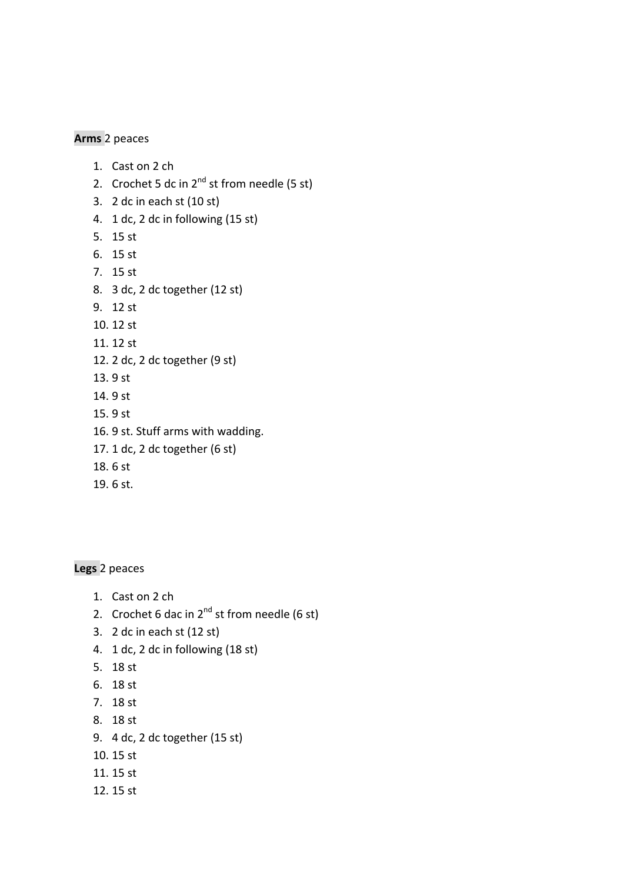## **Arms** 2 peaces

- 1. Cast on 2 ch
- 2. Crochet 5 dc in  $2^{nd}$  st from needle (5 st)
- 3. 2 dc in each st (10 st)
- 4. 1 dc, 2 dc in following (15 st)
- 5. 15 st
- 6. 15 st
- 7. 15 st
- 8. 3 dc, 2 dc together (12 st)
- 9. 12 st
- 10. 12 st
- 11. 12 st
- 12. 2 dc, 2 dc together (9 st)
- 13. 9 st
- 14. 9 st
- 15. 9 st
- 16. 9 st. Stuff arms with wadding.
- 17. 1 dc, 2 dc together (6 st)
- 18. 6 st
- 19. 6 st.

**Legs** 2 peaces

- 1. Cast on 2 ch
- 2. Crochet 6 dac in  $2^{nd}$  st from needle (6 st)
- 3. 2 dc in each st (12 st)
- 4. 1 dc, 2 dc in following (18 st)
- 5. 18 st
- 6. 18 st
- 7. 18 st
- 8. 18 st
- 9. 4 dc, 2 dc together (15 st)
- 10. 15 st
- 11. 15 st
- 12. 15 st